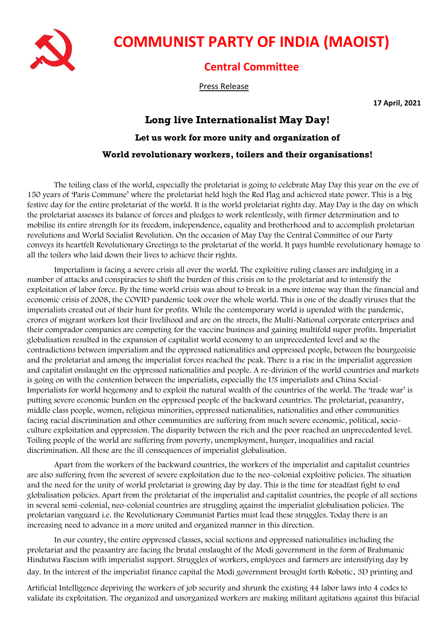

## **COMMUNIST PARTY OF INDIA (MAOIST)**

## **Central Committee**

Press Release

**17 April, 2021**

## **Long live Internationalist May Day! Let us work for more unity and organization of World revolutionary workers, toilers and their organisations!**

The toiling class of the world, especially the proletariat is going to celebrate May Day this year on the eve of 150 years of 'Paris Commune' where the proletariat held high the Red Flag and achieved state power. This is a big festive day for the entire proletariat of the world. It is the world proletariat rights day. May Day is the day on which the proletariat assesses its balance of forces and pledges to work relentlessly, with firmer determination and to mobilise its entire strength for its freedom, independence, equality and brotherhood and to accomplish proletarian revolutions and World Socialist Revolution. On the occasion of May Day the Central Committee of our Party conveys its heartfelt Revolutionary Greetings to the proletariat of the world. It pays humble revolutionary homage to all the toilers who laid down their lives to achieve their rights.

Imperialism is facing a severe crisis all over the world. The exploitive ruling classes are indulging in a number of attacks and conspiracies to shift the burden of this crisis on to the proletariat and to intensify the exploitation of labor force. By the time world crisis was about to break in a more intense way than the financial and economic crisis of 2008, the COVID pandemic took over the whole world. This is one of the deadly viruses that the imperialists created out of their hunt for profits. While the contemporary world is upended with the pandemic, crores of migrant workers lost their livelihood and are on the streets, the Multi-National corporate enterprises and their comprador companies are competing for the vaccine business and gaining multifold super profits. Imperialist globalisation resulted in the expansion of capitalist world economy to an unprecedented level and so the contradictions between imperialism and the oppressed nationalities and oppressed people, between the bourgeoisie and the proletariat and among the imperialist forces reached the peak. There is a rise in the imperialist aggression and capitalist onslaught on the oppressed nationalities and people. A re-division of the world countries and markets is going on with the contention between the imperialists, especially the US imperialists and China Social-Imperialists for world hegemony and to exploit the natural wealth of the countries of the world. The 'trade war' is putting severe economic burden on the oppressed people of the backward countries. The proletariat, peasantry, middle class people, women, religious minorities, oppressed nationalities, nationalities and other communities facing racial discrimination and other communities are suffering from much severe economic, political, socioculture exploitation and oppression. The disparity between the rich and the poor reached an unprecedented level. Toiling people of the world are suffering from poverty, unemployment, hunger, inequalities and racial discrimination. All these are the ill consequences of imperialist globalisation.

Apart from the workers of the backward countries, the workers of the imperialist and capitalist countries are also suffering from the severest of severe exploitation due to the neo-colonial exploitive policies. The situation and the need for the unity of world proletariat is growing day by day. This is the time for steadfast fight to end globalisation policies. Apart from the proletariat of the imperialist and capitalist countries, the people of all sections in several semi-colonial, neo-colonial countries are struggling against the imperialist globalisation policies. The proletarian vanguard i.e. the Revolutionary Communist Parties must lead these struggles. Today there is an increasing need to advance in a more united and organized manner in this direction.

In our country, the entire oppressed classes, social sections and oppressed nationalities including the proletariat and the peasantry are facing the brutal onslaught of the Modi government in the form of Brahmanic Hindutwa Fascism with imperialist support. Struggles of workers, employees and farmers are intensifying day by day. In the interest of the imperialist finance capital the Modi government brought forth Robotic, 3D printing and

Artificial Intelligence depriving the workers of job security and shrunk the existing 44 labor laws into 4 codes to validate its exploitation. The organized and unorganized workers are making militant agitations against this bifacial